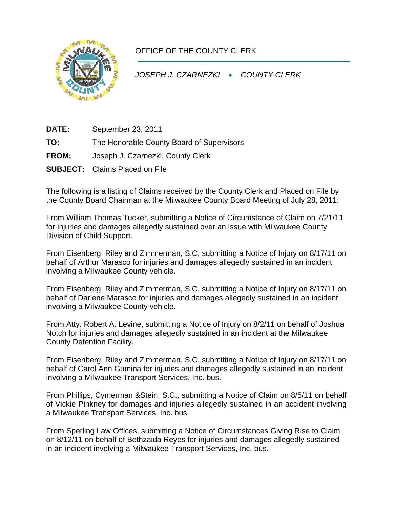

## OFFICE OF THE COUNTY CLERK

*JOSEPH J. CZARNEZKI* • *COUNTY CLERK* 

**DATE:** September 23, 2011

**TO:** The Honorable County Board of Supervisors

- **FROM:** Joseph J. Czarnezki, County Clerk
- **SUBJECT:** Claims Placed on File

The following is a listing of Claims received by the County Clerk and Placed on File by the County Board Chairman at the Milwaukee County Board Meeting of July 28, 2011:

From William Thomas Tucker, submitting a Notice of Circumstance of Claim on 7/21/11 for injuries and damages allegedly sustained over an issue with Milwaukee County Division of Child Support.

From Eisenberg, Riley and Zimmerman, S.C, submitting a Notice of Injury on 8/17/11 on behalf of Arthur Marasco for injuries and damages allegedly sustained in an incident involving a Milwaukee County vehicle.

From Eisenberg, Riley and Zimmerman, S.C, submitting a Notice of Injury on 8/17/11 on behalf of Darlene Marasco for injuries and damages allegedly sustained in an incident involving a Milwaukee County vehicle.

From Atty. Robert A. Levine, submitting a Notice of Injury on 8/2/11 on behalf of Joshua Notch for injuries and damages allegedly sustained in an incident at the Milwaukee County Detention Facility.

From Eisenberg, Riley and Zimmerman, S.C, submitting a Notice of Injury on 8/17/11 on behalf of Carol Ann Gumina for injuries and damages allegedly sustained in an incident involving a Milwaukee Transport Services, Inc. bus.

From Phillips, Cymerman &Stein, S.C., submitting a Notice of Claim on 8/5/11 on behalf of Vickie Pinkney for damages and injuries allegedly sustained in an accident involving a Milwaukee Transport Services, Inc. bus.

From Sperling Law Offices, submitting a Notice of Circumstances Giving Rise to Claim on 8/12/11 on behalf of Bethzaida Reyes for injuries and damages allegedly sustained in an incident involving a Milwaukee Transport Services, Inc. bus.